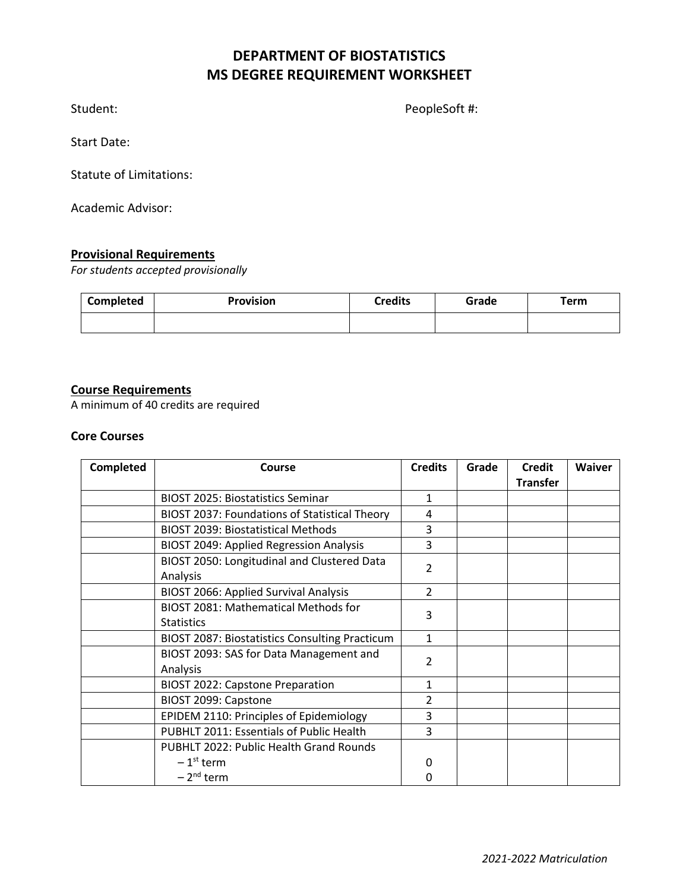# **DEPARTMENT OF BIOSTATISTICS MS DEGREE REQUIREMENT WORKSHEET**

Student: PeopleSoft #:

Start Date:

Statute of Limitations:

Academic Advisor:

## **Provisional Requirements**

*For students accepted provisionally*

| Completed | <b>Provision</b> | <b>Credits</b> | Grade | <b>Term</b> |
|-----------|------------------|----------------|-------|-------------|
|           |                  |                |       |             |

#### **Course Requirements**

A minimum of 40 credits are required

#### **Core Courses**

| <b>Completed</b> | Course                                                | <b>Credits</b>           | Grade | <b>Credit</b>   | <b>Waiver</b> |
|------------------|-------------------------------------------------------|--------------------------|-------|-----------------|---------------|
|                  |                                                       |                          |       | <b>Transfer</b> |               |
|                  | <b>BIOST 2025: Biostatistics Seminar</b>              | $\mathbf{1}$             |       |                 |               |
|                  | BIOST 2037: Foundations of Statistical Theory         | 4                        |       |                 |               |
|                  | <b>BIOST 2039: Biostatistical Methods</b>             | 3                        |       |                 |               |
|                  | <b>BIOST 2049: Applied Regression Analysis</b>        | 3                        |       |                 |               |
|                  | BIOST 2050: Longitudinal and Clustered Data           | $\overline{2}$           |       |                 |               |
|                  | Analysis                                              |                          |       |                 |               |
|                  | <b>BIOST 2066: Applied Survival Analysis</b>          | $\overline{2}$           |       |                 |               |
|                  | BIOST 2081: Mathematical Methods for                  |                          |       |                 |               |
|                  | <b>Statistics</b>                                     | 3                        |       |                 |               |
|                  | <b>BIOST 2087: Biostatistics Consulting Practicum</b> | $\mathbf{1}$             |       |                 |               |
|                  | BIOST 2093: SAS for Data Management and               | 2                        |       |                 |               |
|                  | Analysis                                              |                          |       |                 |               |
|                  | <b>BIOST 2022: Capstone Preparation</b>               | 1                        |       |                 |               |
|                  | BIOST 2099: Capstone                                  | $\overline{\phantom{a}}$ |       |                 |               |
|                  | EPIDEM 2110: Principles of Epidemiology               | 3                        |       |                 |               |
|                  | PUBHLT 2011: Essentials of Public Health              | 3                        |       |                 |               |
|                  | <b>PUBHLT 2022: Public Health Grand Rounds</b>        |                          |       |                 |               |
|                  | $-1st$ term                                           | 0                        |       |                 |               |
|                  | $-2nd$ term                                           | 0                        |       |                 |               |